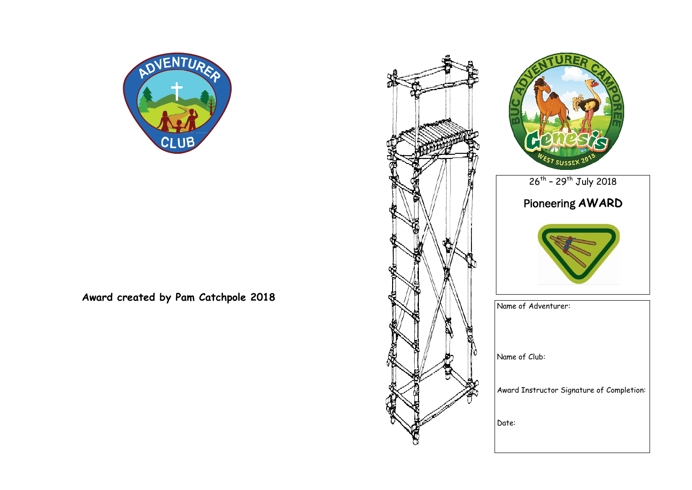

**Award created by Pam Catchpole 2018**





Name of Adventurer:

Name of Club:

Award Instructor Signature of Completion: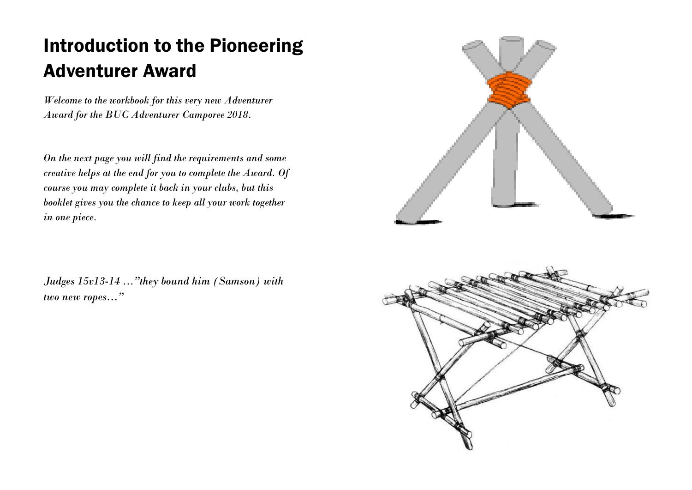## Introduction to the Pioneering Adventurer Award

*Welcome to the workbook for this very new Adventurer Award for the BUC Adventurer Camporee 2018.*

*On the next page you will find the requirements and some creative helps at the end for you to complete the Award. Of course you may complete it back in your clubs, but this booklet gives you the chance to keep all your work together in one piece.*

*Judges 15v13-14 ..."they bound him (Samson) with two new ropes…"*



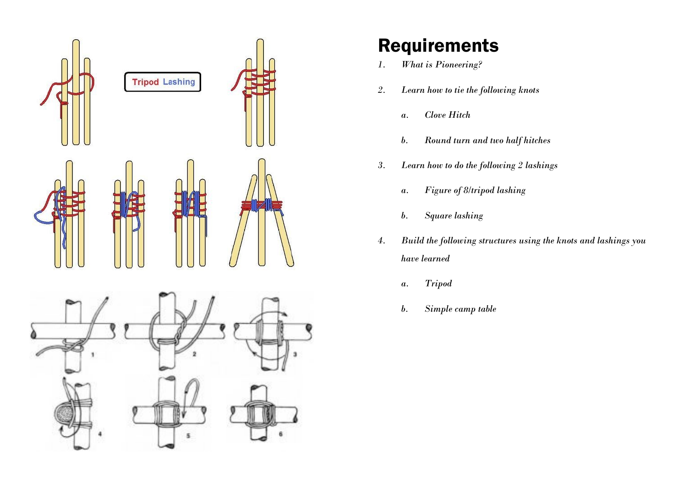

## Requirements

- *1. What is Pioneering?*
- *2. Learn how to tie the following knots*
	- *a. Clove Hitch*
	- *b. Round turn and two half hitches*
- *3. Learn how to do the following 2 lashings*
	- *a. Figure of 8/tripod lashing*
	- *b. Square lashing*
- *4. Build the following structures using the knots and lashings you have learned*
	- *a. Tripod*
	- *b. Simple camp table*